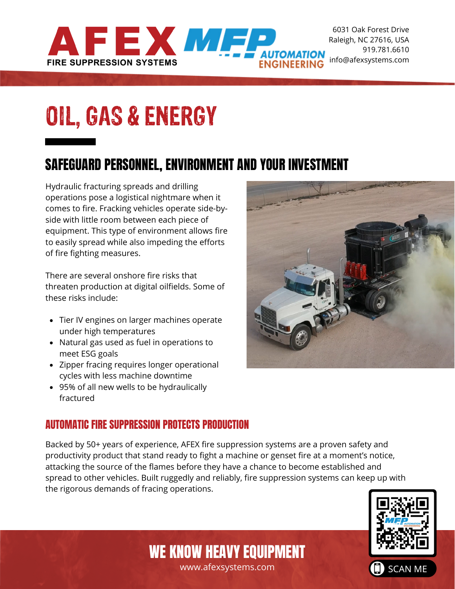

6031 Oak Forest Drive [Ra](www.mifp.com)leigh, NC 27616, USA 919.781.6610 info@afexsystems.com

# OIL, GAS & ENERGY

### SAFEGUARD PERSONNEL, ENVIRONMENT AND YOUR INVESTMENT

Hydraulic fracturing spreads and drilling operations pose a logistical nightmare when it comes to fire. Fracking vehicles operate side-byside with little room between each piece of equipment. This type of environment allows fire to easily spread while also impeding the efforts of fire fighting measures.

There are several onshore fire risks that threaten production at digital oilfields. Some of these risks include:

- Tier IV engines on larger machines operate under high temperatures
- Natural gas used as fuel in operations to meet ESG goals
- Zipper fracing requires longer operational cycles with less machine downtime
- 95% of all new wells to be hydraulically fractured

### AUTOMATIC FIRE SUPPRESSION PROTECTS PRODUCTION

Backed by 50+ years of experience, AFEX fire suppression systems are a proven safety and productivity product that stand ready to fight a machine or genset fire at a moment's notice, attacking the source of the flames before they have a chance to become established and spread to other vehicles. Built ruggedly and reliably, fire suppression systems can keep up with the rigorous demands of fracing operations.



www.afexsystems.com WE KNOW HEAVY EQUIPMENT